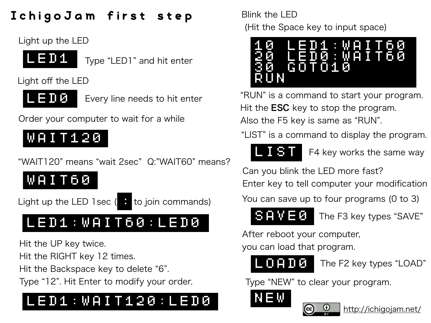### IchigoJam first step

Light up the LED



Type "LED1" and hit enter

Light off the LED



Every line needs to hit enter

Order your computer to wait for a while

# WAIT120

"WAIT120" means "wait 2sec" Q:"WAIT60" means?

WAIT60

Light up the LED 1sec  $($   $\bullet$  to join commands)

# LED1:WAIT60:LED0

Hit the UP key twice.

Hit the RIGHT key 12 times.

Hit the Backspace key to delete "6".

Type "12". Hit Enter to modify your order.

# LED1:WAIT120:LED0

Blink the LED (Hit the Space key to input space)



"RUN" is a command to start your program. Hit the **ESC** key to stop the program. Also the F5 key is same as "RUN".

"LIST" is a command to display the program.



F4 key works the same way

Can you blink the LED more fast?

Enter key to tell computer your modification

You can save up to four programs (0 to 3)



The F3 key types "SAVE"

After reboot your computer,

you can load that program.



The F2 key types "LOAD"

Type "NEW" to clear your program.





<http://ichigojam.net/>